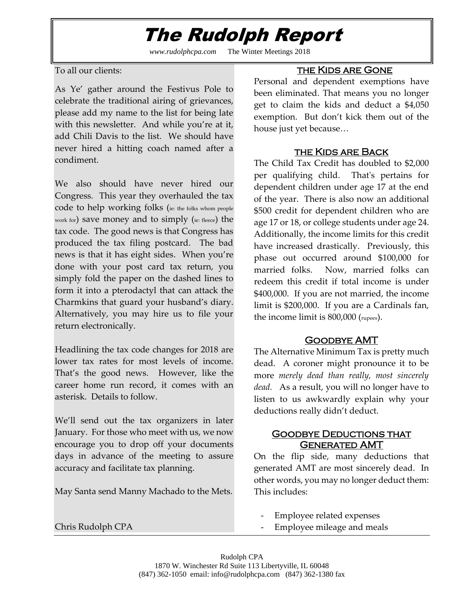## The Rudolph Report

*www.rudolphcpa.com* The Winter Meetings 2018

To all our clients:

As Ye' gather around the Festivus Pole to celebrate the traditional airing of grievances, please add my name to the list for being late with this newsletter. And while you're at it, add Chili Davis to the list. We should have never hired a hitting coach named after a condiment.

We also should have never hired our Congress. This year they overhauled the tax code to help working folks (ie: the folks whom people work for) save money and to simply (ie: fleece) the tax code. The good news is that Congress has produced the tax filing postcard. The bad news is that it has eight sides. When you're done with your post card tax return, you simply fold the paper on the dashed lines to form it into a pterodactyl that can attack the Charmkins that guard your husband's diary. Alternatively, you may hire us to file your return electronically.

Headlining the tax code changes for 2018 are lower tax rates for most levels of income. That's the good news. However, like the career home run record, it comes with an asterisk. Details to follow.

We'll send out the tax organizers in later January. For those who meet with us, we now encourage you to drop off your documents days in advance of the meeting to assure accuracy and facilitate tax planning.

May Santa send Manny Machado to the Mets.

#### Chris Rudolph CPA

### the Kids are Gone

Personal and dependent exemptions have been eliminated. That means you no longer get to claim the kids and deduct a \$4,050 exemption. But don't kick them out of the house just yet because…

### the Kids are Back

The Child Tax Credit has doubled to \$2,000 per qualifying child. That's pertains for dependent children under age 17 at the end of the year. There is also now an additional \$500 credit for dependent children who are age 17 or 18, or college students under age 24. Additionally, the income limits for this credit have increased drastically. Previously, this phase out occurred around \$100,000 for married folks. Now, married folks can redeem this credit if total income is under \$400,000. If you are not married, the income limit is \$200,000. If you are a Cardinals fan, the income limit is 800,000 (rupees).

## Goodbye AMT

The Alternative Minimum Tax is pretty much dead. A coroner might pronounce it to be more *merely dead than really, most sincerely dead.* As a result, you will no longer have to listen to us awkwardly explain why your deductions really didn't deduct.

### **GOODBYE DEDUCTIONS THAT** Generated AMT

On the flip side, many deductions that generated AMT are most sincerely dead. In other words, you may no longer deduct them: This includes:

- Employee related expenses
- Employee mileage and meals